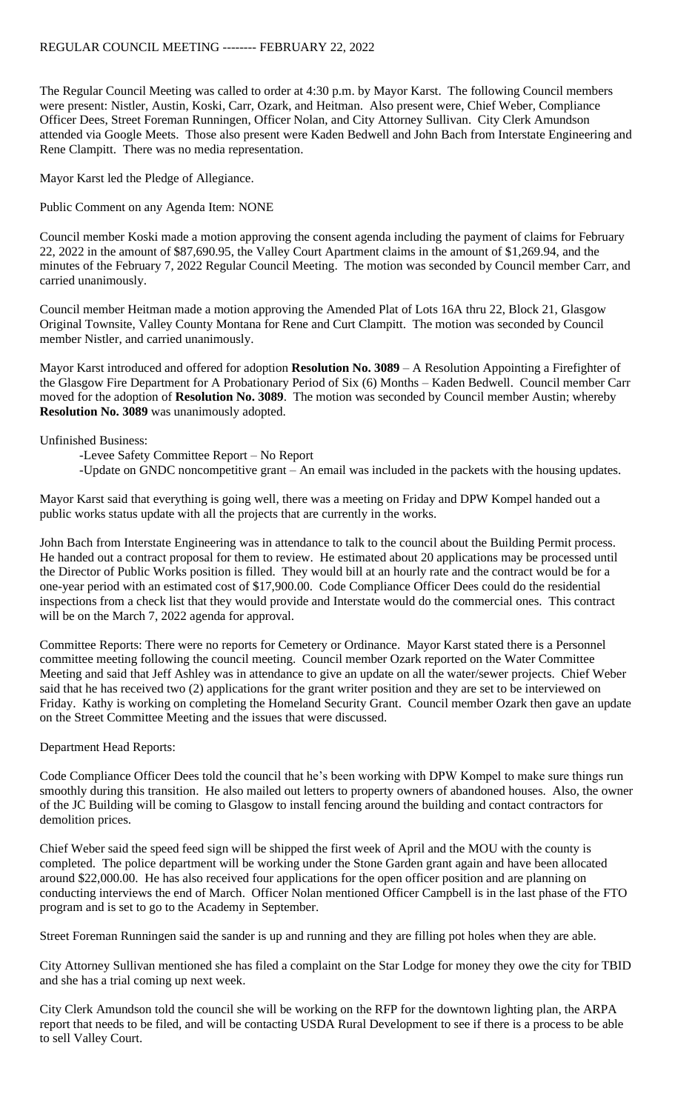The Regular Council Meeting was called to order at 4:30 p.m. by Mayor Karst. The following Council members were present: Nistler, Austin, Koski, Carr, Ozark, and Heitman. Also present were, Chief Weber, Compliance Officer Dees, Street Foreman Runningen, Officer Nolan, and City Attorney Sullivan. City Clerk Amundson attended via Google Meets. Those also present were Kaden Bedwell and John Bach from Interstate Engineering and Rene Clampitt. There was no media representation.

Mayor Karst led the Pledge of Allegiance.

Public Comment on any Agenda Item: NONE

Council member Koski made a motion approving the consent agenda including the payment of claims for February 22, 2022 in the amount of \$87,690.95, the Valley Court Apartment claims in the amount of \$1,269.94, and the minutes of the February 7, 2022 Regular Council Meeting. The motion was seconded by Council member Carr, and carried unanimously.

Council member Heitman made a motion approving the Amended Plat of Lots 16A thru 22, Block 21, Glasgow Original Townsite, Valley County Montana for Rene and Curt Clampitt. The motion was seconded by Council member Nistler, and carried unanimously.

Mayor Karst introduced and offered for adoption **Resolution No. 3089** – A Resolution Appointing a Firefighter of the Glasgow Fire Department for A Probationary Period of Six (6) Months – Kaden Bedwell. Council member Carr moved for the adoption of **Resolution No. 3089**. The motion was seconded by Council member Austin; whereby **Resolution No. 3089** was unanimously adopted.

## Unfinished Business:

-Levee Safety Committee Report – No Report

-Update on GNDC noncompetitive grant – An email was included in the packets with the housing updates.

Mayor Karst said that everything is going well, there was a meeting on Friday and DPW Kompel handed out a public works status update with all the projects that are currently in the works.

John Bach from Interstate Engineering was in attendance to talk to the council about the Building Permit process. He handed out a contract proposal for them to review. He estimated about 20 applications may be processed until the Director of Public Works position is filled. They would bill at an hourly rate and the contract would be for a one-year period with an estimated cost of \$17,900.00. Code Compliance Officer Dees could do the residential inspections from a check list that they would provide and Interstate would do the commercial ones. This contract will be on the March 7, 2022 agenda for approval.

Committee Reports: There were no reports for Cemetery or Ordinance. Mayor Karst stated there is a Personnel committee meeting following the council meeting. Council member Ozark reported on the Water Committee Meeting and said that Jeff Ashley was in attendance to give an update on all the water/sewer projects. Chief Weber said that he has received two (2) applications for the grant writer position and they are set to be interviewed on Friday. Kathy is working on completing the Homeland Security Grant. Council member Ozark then gave an update on the Street Committee Meeting and the issues that were discussed.

## Department Head Reports:

Code Compliance Officer Dees told the council that he's been working with DPW Kompel to make sure things run smoothly during this transition. He also mailed out letters to property owners of abandoned houses. Also, the owner of the JC Building will be coming to Glasgow to install fencing around the building and contact contractors for demolition prices.

Chief Weber said the speed feed sign will be shipped the first week of April and the MOU with the county is completed. The police department will be working under the Stone Garden grant again and have been allocated around \$22,000.00. He has also received four applications for the open officer position and are planning on conducting interviews the end of March. Officer Nolan mentioned Officer Campbell is in the last phase of the FTO program and is set to go to the Academy in September.

Street Foreman Runningen said the sander is up and running and they are filling pot holes when they are able.

City Attorney Sullivan mentioned she has filed a complaint on the Star Lodge for money they owe the city for TBID and she has a trial coming up next week.

City Clerk Amundson told the council she will be working on the RFP for the downtown lighting plan, the ARPA report that needs to be filed, and will be contacting USDA Rural Development to see if there is a process to be able to sell Valley Court.